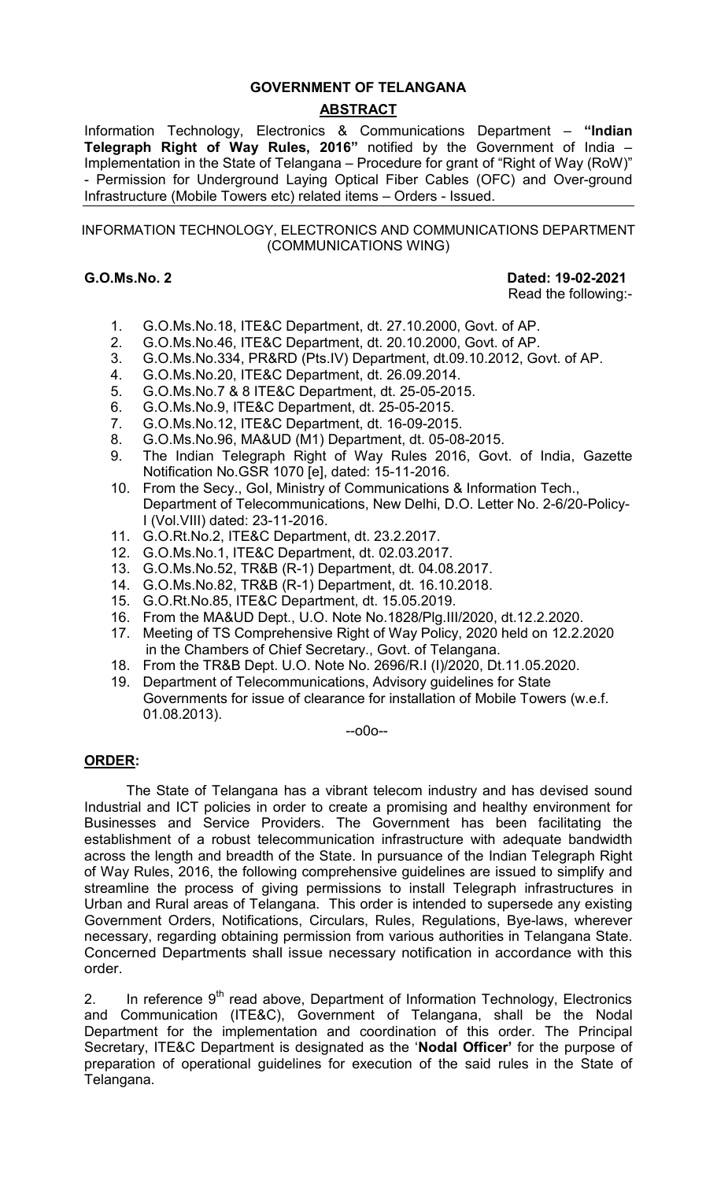## **GOVERNMENT OF TELANGANA**

# **ABSTRACT**

Information Technology, Electronics & Communications Department – **"Indian Telegraph Right of Way Rules, 2016"** notified by the Government of India – Implementation in the State of Telangana – Procedure for grant of "Right of Way (RoW)" - Permission for Underground Laying Optical Fiber Cables (OFC) and Over-ground Infrastructure (Mobile Towers etc) related items – Orders - Issued.

#### INFORMATION TECHNOLOGY, ELECTRONICS AND COMMUNICATIONS DEPARTMENT (COMMUNICATIONS WING)

**G.O.Ms.No. 2 Dated: 19-02-2021**

Read the following:-

- 1. G.O.Ms.No.18, ITE&C Department, dt. 27.10.2000, Govt. of AP.
- 2. G.O.Ms.No.46, ITE&C Department, dt. 20.10.2000, Govt. of AP.
- 3. G.O.Ms.No.334, PR&RD (Pts.IV) Department, dt.09.10.2012, Govt. of AP.
- 4. G.O.Ms.No.20, ITE&C Department, dt. 26.09.2014.
- 5. G.O.Ms.No.7 & 8 ITE&C Department, dt. 25-05-2015.
- 6. G.O.Ms.No.9, ITE&C Department, dt. 25-05-2015.
- 7. G.O.Ms.No.12, ITE&C Department, dt. 16-09-2015.
- 8. G.O.Ms.No.96, MA&UD (M1) Department, dt. 05-08-2015.
- 9. The Indian Telegraph Right of Way Rules 2016, Govt. of India, Gazette Notification No.GSR 1070 [e], dated: 15-11-2016.
- 10. From the Secy., GoI, Ministry of Communications & Information Tech., Department of Telecommunications, New Delhi, D.O. Letter No. 2-6/20-Policy-I (Vol.VIII) dated: 23-11-2016.
- 11. G.O.Rt.No.2, ITE&C Department, dt. 23.2.2017.
- 12. G.O.Ms.No.1, ITE&C Department, dt. 02.03.2017.
- 13. G.O.Ms.No.52, TR&B (R-1) Department, dt. 04.08.2017.
- 14. G.O.Ms.No.82, TR&B (R-1) Department, dt. 16.10.2018.
- 15. G.O.Rt.No.85, ITE&C Department, dt. 15.05.2019.
- 16. From the MA&UD Dept., U.O. Note No.1828/Plg.III/2020, dt.12.2.2020.
- 17. Meeting of TS Comprehensive Right of Way Policy, 2020 held on 12.2.2020 in the Chambers of Chief Secretary., Govt. of Telangana.
- 18. From the TR&B Dept. U.O. Note No. 2696/R.I (I)/2020, Dt.11.05.2020.
- 19. Department of Telecommunications, Advisory guidelines for State Governments for issue of clearance for installation of Mobile Towers (w.e.f. 01.08.2013).

--o0o--

# **ORDER:**

The State of Telangana has a vibrant telecom industry and has devised sound Industrial and ICT policies in order to create a promising and healthy environment for Businesses and Service Providers. The Government has been facilitating the establishment of a robust telecommunication infrastructure with adequate bandwidth across the length and breadth of the State. In pursuance of the Indian Telegraph Right of Way Rules, 2016, the following comprehensive guidelines are issued to simplify and streamline the process of giving permissions to install Telegraph infrastructures in Urban and Rural areas of Telangana. This order is intended to supersede any existing Government Orders, Notifications, Circulars, Rules, Regulations, Bye-laws, wherever necessary, regarding obtaining permission from various authorities in Telangana State. Concerned Departments shall issue necessary notification in accordance with this order.

2. In reference  $9<sup>th</sup>$  read above, Department of Information Technology, Electronics and Communication (ITE&C), Government of Telangana, shall be the Nodal Department for the implementation and coordination of this order. The Principal Secretary, ITE&C Department is designated as the '**Nodal Officer'** for the purpose of preparation of operational guidelines for execution of the said rules in the State of Telangana.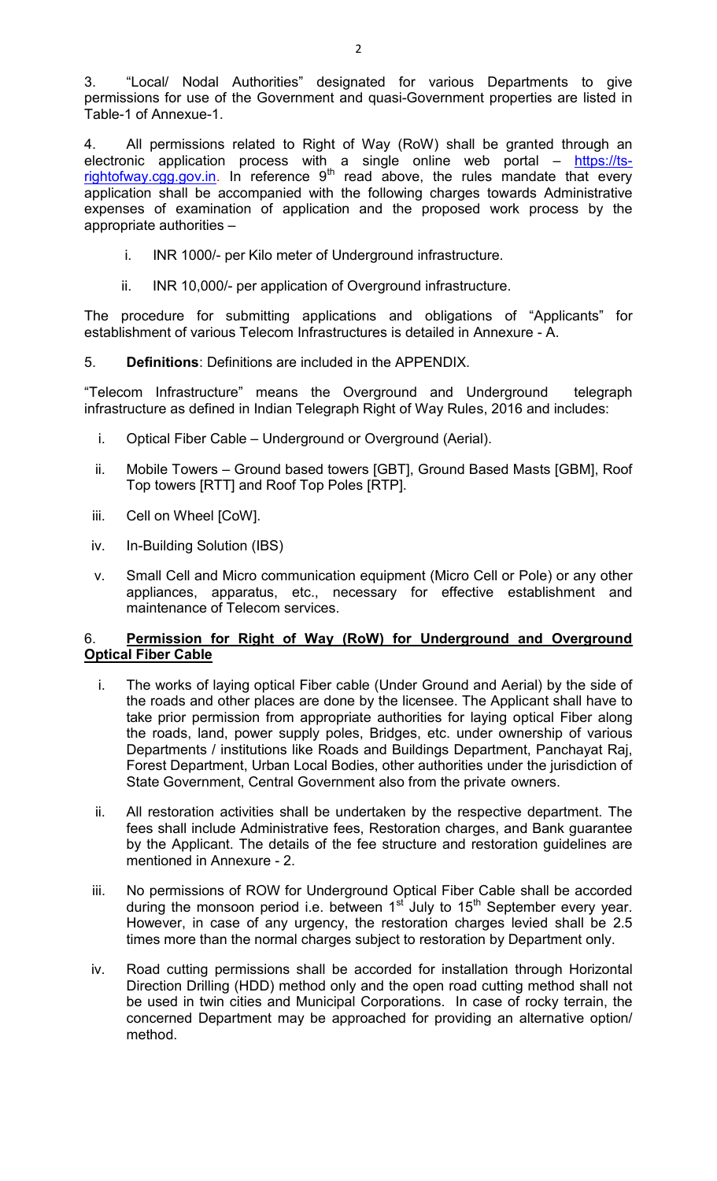3. "Local/ Nodal Authorities" designated for various Departments to give permissions for use of the Government and quasi-Government properties are listed in Table-1 of Annexue-1.

4. All permissions related to Right of Way (RoW) shall be granted through an electronic application process with a single online web portal – https://tsrightofway.cgg.gov.in. In reference  $9<sup>th</sup>$  read above, the rules mandate that every application shall be accompanied with the following charges towards Administrative expenses of examination of application and the proposed work process by the appropriate authorities –

- i. INR 1000/- per Kilo meter of Underground infrastructure.
- ii. INR 10,000/- per application of Overground infrastructure.

The procedure for submitting applications and obligations of "Applicants" for establishment of various Telecom Infrastructures is detailed in Annexure - A.

5. **Definitions**: Definitions are included in the APPENDIX.

"Telecom Infrastructure" means the Overground and Underground telegraph infrastructure as defined in Indian Telegraph Right of Way Rules, 2016 and includes:

- i. Optical Fiber Cable Underground or Overground (Aerial).
- ii. Mobile Towers Ground based towers [GBT], Ground Based Masts [GBM], Roof Top towers [RTT] and Roof Top Poles [RTP].
- iii. Cell on Wheel [CoW].
- iv. In-Building Solution (IBS)
- v. Small Cell and Micro communication equipment (Micro Cell or Pole) or any other appliances, apparatus, etc., necessary for effective establishment and maintenance of Telecom services.

# 6. **Permission for Right of Way (RoW) for Underground and Overground Optical Fiber Cable**

- i. The works of laying optical Fiber cable (Under Ground and Aerial) by the side of the roads and other places are done by the licensee. The Applicant shall have to take prior permission from appropriate authorities for laying optical Fiber along the roads, land, power supply poles, Bridges, etc. under ownership of various Departments / institutions like Roads and Buildings Department, Panchayat Raj, Forest Department, Urban Local Bodies, other authorities under the jurisdiction of State Government, Central Government also from the private owners.
- ii. All restoration activities shall be undertaken by the respective department. The fees shall include Administrative fees, Restoration charges, and Bank guarantee by the Applicant. The details of the fee structure and restoration guidelines are mentioned in Annexure - 2.
- iii. No permissions of ROW for Underground Optical Fiber Cable shall be accorded during the monsoon period i.e. between  $1<sup>st</sup>$  July to  $15<sup>th</sup>$  September every year. However, in case of any urgency, the restoration charges levied shall be 2.5 times more than the normal charges subject to restoration by Department only.
- iv. Road cutting permissions shall be accorded for installation through Horizontal Direction Drilling (HDD) method only and the open road cutting method shall not be used in twin cities and Municipal Corporations. In case of rocky terrain, the concerned Department may be approached for providing an alternative option/ method.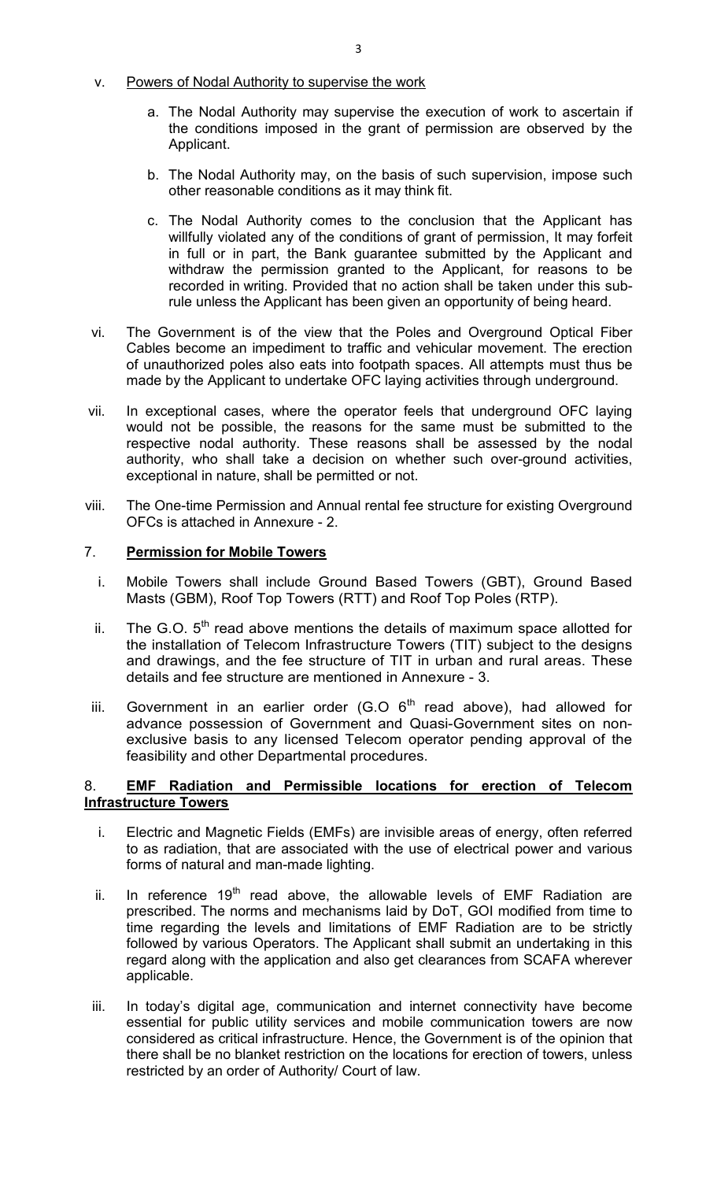# v. Powers of Nodal Authority to supervise the work

- a. The Nodal Authority may supervise the execution of work to ascertain if the conditions imposed in the grant of permission are observed by the Applicant.
- b. The Nodal Authority may, on the basis of such supervision, impose such other reasonable conditions as it may think fit.
- c. The Nodal Authority comes to the conclusion that the Applicant has willfully violated any of the conditions of grant of permission, It may forfeit in full or in part, the Bank guarantee submitted by the Applicant and withdraw the permission granted to the Applicant, for reasons to be recorded in writing. Provided that no action shall be taken under this subrule unless the Applicant has been given an opportunity of being heard.
- vi. The Government is of the view that the Poles and Overground Optical Fiber Cables become an impediment to traffic and vehicular movement. The erection of unauthorized poles also eats into footpath spaces. All attempts must thus be made by the Applicant to undertake OFC laying activities through underground.
- vii. In exceptional cases, where the operator feels that underground OFC laying would not be possible, the reasons for the same must be submitted to the respective nodal authority. These reasons shall be assessed by the nodal authority, who shall take a decision on whether such over-ground activities, exceptional in nature, shall be permitted or not.
- viii. The One-time Permission and Annual rental fee structure for existing Overground OFCs is attached in Annexure - 2.

# 7. **Permission for Mobile Towers**

- i. Mobile Towers shall include Ground Based Towers (GBT), Ground Based Masts (GBM), Roof Top Towers (RTT) and Roof Top Poles (RTP).
- ii. The G.O.  $5<sup>th</sup>$  read above mentions the details of maximum space allotted for the installation of Telecom Infrastructure Towers (TIT) subject to the designs and drawings, and the fee structure of TIT in urban and rural areas. These details and fee structure are mentioned in Annexure - 3.
- iii. Government in an earlier order  $(G.O 6<sup>th</sup>$  read above), had allowed for advance possession of Government and Quasi-Government sites on nonexclusive basis to any licensed Telecom operator pending approval of the feasibility and other Departmental procedures.

# 8. **EMF Radiation and Permissible locations for erection of Telecom Infrastructure Towers**

- i. Electric and Magnetic Fields (EMFs) are invisible areas of energy, often referred to as radiation, that are associated with the use of electrical power and various forms of natural and man-made lighting.
- ii. In reference  $19<sup>th</sup>$  read above, the allowable levels of EMF Radiation are prescribed. The norms and mechanisms laid by DoT, GOI modified from time to time regarding the levels and limitations of EMF Radiation are to be strictly followed by various Operators. The Applicant shall submit an undertaking in this regard along with the application and also get clearances from SCAFA wherever applicable.
- iii. In today's digital age, communication and internet connectivity have become essential for public utility services and mobile communication towers are now considered as critical infrastructure. Hence, the Government is of the opinion that there shall be no blanket restriction on the locations for erection of towers, unless restricted by an order of Authority/ Court of law.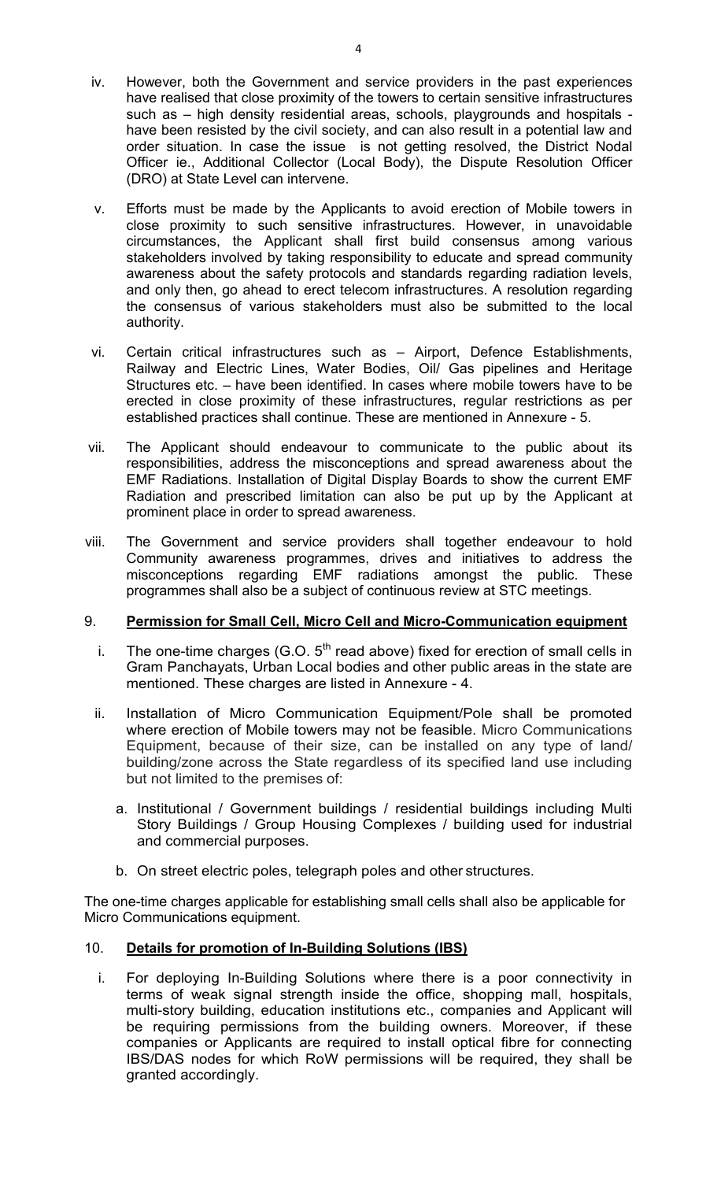- iv. However, both the Government and service providers in the past experiences have realised that close proximity of the towers to certain sensitive infrastructures such as – high density residential areas, schools, playgrounds and hospitals have been resisted by the civil society, and can also result in a potential law and order situation. In case the issue is not getting resolved, the District Nodal Officer ie., Additional Collector (Local Body), the Dispute Resolution Officer (DRO) at State Level can intervene.
- v. Efforts must be made by the Applicants to avoid erection of Mobile towers in close proximity to such sensitive infrastructures. However, in unavoidable circumstances, the Applicant shall first build consensus among various stakeholders involved by taking responsibility to educate and spread community awareness about the safety protocols and standards regarding radiation levels, and only then, go ahead to erect telecom infrastructures. A resolution regarding the consensus of various stakeholders must also be submitted to the local authority.
- vi. Certain critical infrastructures such as Airport, Defence Establishments, Railway and Electric Lines, Water Bodies, Oil/ Gas pipelines and Heritage Structures etc. – have been identified. In cases where mobile towers have to be erected in close proximity of these infrastructures, regular restrictions as per established practices shall continue. These are mentioned in Annexure - 5.
- vii. The Applicant should endeavour to communicate to the public about its responsibilities, address the misconceptions and spread awareness about the EMF Radiations. Installation of Digital Display Boards to show the current EMF Radiation and prescribed limitation can also be put up by the Applicant at prominent place in order to spread awareness.
- viii. The Government and service providers shall together endeavour to hold Community awareness programmes, drives and initiatives to address the misconceptions regarding EMF radiations amongst the public. These programmes shall also be a subject of continuous review at STC meetings.

# 9. **Permission for Small Cell, Micro Cell and Micro-Communication equipment**

- i. The one-time charges (G.O.  $5<sup>th</sup>$  read above) fixed for erection of small cells in Gram Panchayats, Urban Local bodies and other public areas in the state are mentioned. These charges are listed in Annexure - 4.
- ii. Installation of Micro Communication Equipment/Pole shall be promoted where erection of Mobile towers may not be feasible. Micro Communications Equipment, because of their size, can be installed on any type of land/ building/zone across the State regardless of its specified land use including but not limited to the premises of:
	- a. Institutional / Government buildings / residential buildings including Multi Story Buildings / Group Housing Complexes / building used for industrial and commercial purposes.
	- b. On street electric poles, telegraph poles and other structures.

The one-time charges applicable for establishing small cells shall also be applicable for Micro Communications equipment.

# 10. **Details for promotion of In-Building Solutions (IBS)**

i. For deploying In-Building Solutions where there is a poor connectivity in terms of weak signal strength inside the office, shopping mall, hospitals, multi-story building, education institutions etc., companies and Applicant will be requiring permissions from the building owners. Moreover, if these companies or Applicants are required to install optical fibre for connecting IBS/DAS nodes for which RoW permissions will be required, they shall be granted accordingly.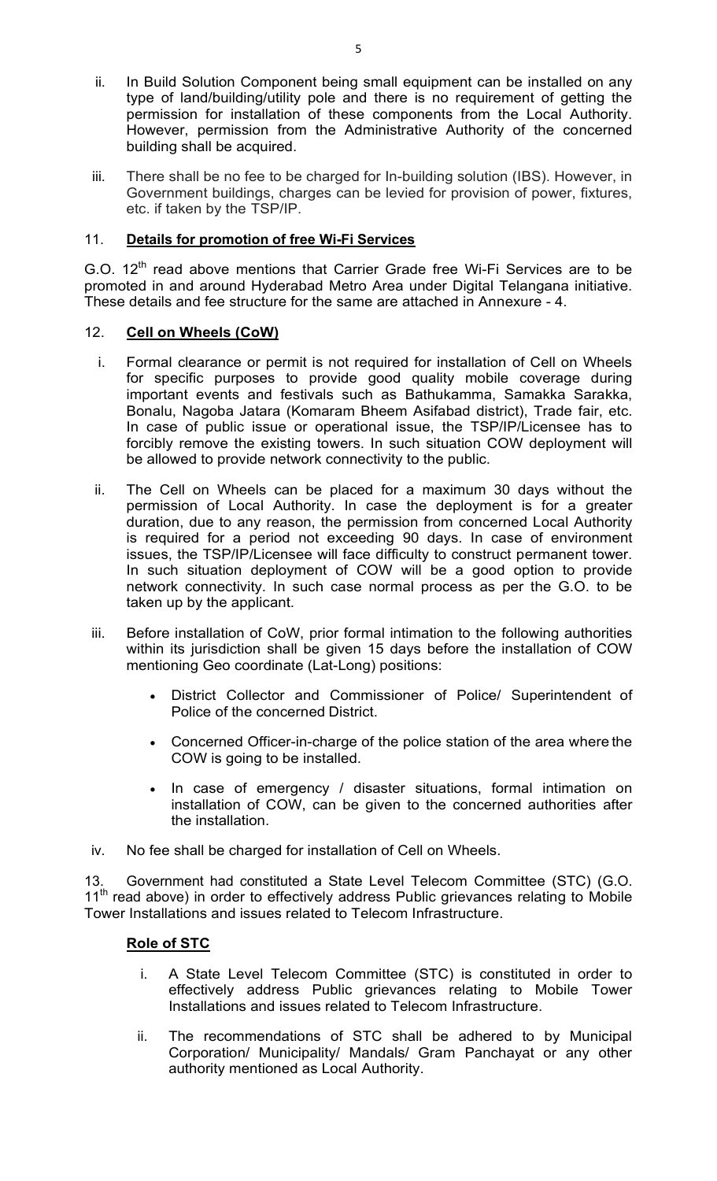- ii. In Build Solution Component being small equipment can be installed on any type of land/building/utility pole and there is no requirement of getting the permission for installation of these components from the Local Authority. However, permission from the Administrative Authority of the concerned building shall be acquired.
- iii. There shall be no fee to be charged for In-building solution (IBS). However, in Government buildings, charges can be levied for provision of power, fixtures, etc. if taken by the TSP/IP.

# 11. **Details for promotion of free Wi-Fi Services**

G.O.  $12^{th}$  read above mentions that Carrier Grade free Wi-Fi Services are to be promoted in and around Hyderabad Metro Area under Digital Telangana initiative. These details and fee structure for the same are attached in Annexure - 4.

# 12. **Cell on Wheels (CoW)**

- i. Formal clearance or permit is not required for installation of Cell on Wheels for specific purposes to provide good quality mobile coverage during important events and festivals such as Bathukamma, Samakka Sarakka, Bonalu, Nagoba Jatara (Komaram Bheem Asifabad district), Trade fair, etc. In case of public issue or operational issue, the TSP/IP/Licensee has to forcibly remove the existing towers. In such situation COW deployment will be allowed to provide network connectivity to the public.
- ii. The Cell on Wheels can be placed for a maximum 30 days without the permission of Local Authority. In case the deployment is for a greater duration, due to any reason, the permission from concerned Local Authority is required for a period not exceeding 90 days. In case of environment issues, the TSP/IP/Licensee will face difficulty to construct permanent tower. In such situation deployment of COW will be a good option to provide network connectivity. In such case normal process as per the G.O. to be taken up by the applicant.
- iii. Before installation of CoW, prior formal intimation to the following authorities within its jurisdiction shall be given 15 days before the installation of COW mentioning Geo coordinate (Lat-Long) positions:
	- District Collector and Commissioner of Police/ Superintendent of Police of the concerned District.
	- Concerned Officer-in-charge of the police station of the area where the COW is going to be installed.
	- In case of emergency / disaster situations, formal intimation on installation of COW, can be given to the concerned authorities after the installation.
- iv. No fee shall be charged for installation of Cell on Wheels.

13. Government had constituted a State Level Telecom Committee (STC) (G.O. 11<sup>th</sup> read above) in order to effectively address Public grievances relating to Mobile Tower Installations and issues related to Telecom Infrastructure.

# **Role of STC**

- i. A State Level Telecom Committee (STC) is constituted in order to effectively address Public grievances relating to Mobile Tower Installations and issues related to Telecom Infrastructure.
- ii. The recommendations of STC shall be adhered to by Municipal Corporation/ Municipality/ Mandals/ Gram Panchayat or any other authority mentioned as Local Authority.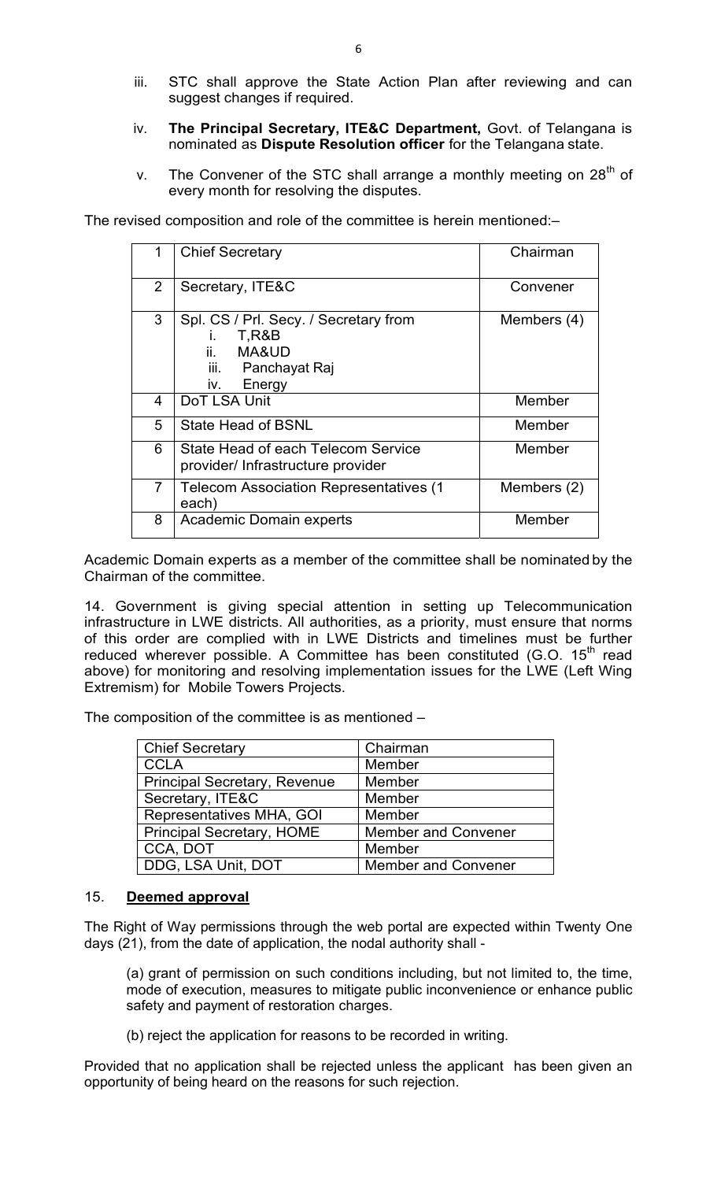- iii. STC shall approve the State Action Plan after reviewing and can suggest changes if required.
- iv. **The Principal Secretary, ITE&C Department,** Govt. of Telangana is nominated as **Dispute Resolution officer** for the Telangana state.
- v. The Convener of the STC shall arrange a monthly meeting on  $28<sup>th</sup>$  of every month for resolving the disputes.

The revised composition and role of the committee is herein mentioned:–

| 1              | <b>Chief Secretary</b>                                                                                             | Chairman    |
|----------------|--------------------------------------------------------------------------------------------------------------------|-------------|
| $\overline{2}$ | Secretary, ITE&C                                                                                                   | Convener    |
| 3              | Spl. CS / Prl. Secy. / Secretary from<br>T,R&B<br>$\mathbf{L}$<br>ii. MA&UD<br>iii. Panchayat Raj<br>Energy<br>İV. | Members (4) |
| 4              | DoT LSA Unit                                                                                                       | Member      |
| 5              | <b>State Head of BSNL</b>                                                                                          | Member      |
| 6              | State Head of each Telecom Service<br>provider/ Infrastructure provider                                            | Member      |
| $\overline{7}$ | <b>Telecom Association Representatives (1)</b><br>each)                                                            | Members (2) |
| 8              | <b>Academic Domain experts</b>                                                                                     | Member      |

Academic Domain experts as a member of the committee shall be nominated by the Chairman of the committee.

14. Government is giving special attention in setting up Telecommunication infrastructure in LWE districts. All authorities, as a priority, must ensure that norms of this order are complied with in LWE Districts and timelines must be further reduced wherever possible. A Committee has been constituted (G.O. 15<sup>th</sup> read above) for monitoring and resolving implementation issues for the LWE (Left Wing Extremism) for Mobile Towers Projects.

The composition of the committee is as mentioned –

| <b>Chief Secretary</b>              | Chairman                   |
|-------------------------------------|----------------------------|
| <b>CCLA</b>                         | Member                     |
| <b>Principal Secretary, Revenue</b> | Member                     |
| Secretary, ITE&C                    | Member                     |
| Representatives MHA, GOI            | Member                     |
| <b>Principal Secretary, HOME</b>    | <b>Member and Convener</b> |
| CCA, DOT                            | Member                     |
| DDG, LSA Unit, DOT                  | <b>Member and Convener</b> |

# 15. **Deemed approval**

The Right of Way permissions through the web portal are expected within Twenty One days (21), from the date of application, the nodal authority shall -

(a) grant of permission on such conditions including, but not limited to, the time, mode of execution, measures to mitigate public inconvenience or enhance public safety and payment of restoration charges.

(b) reject the application for reasons to be recorded in writing.

Provided that no application shall be rejected unless the applicant has been given an opportunity of being heard on the reasons for such rejection.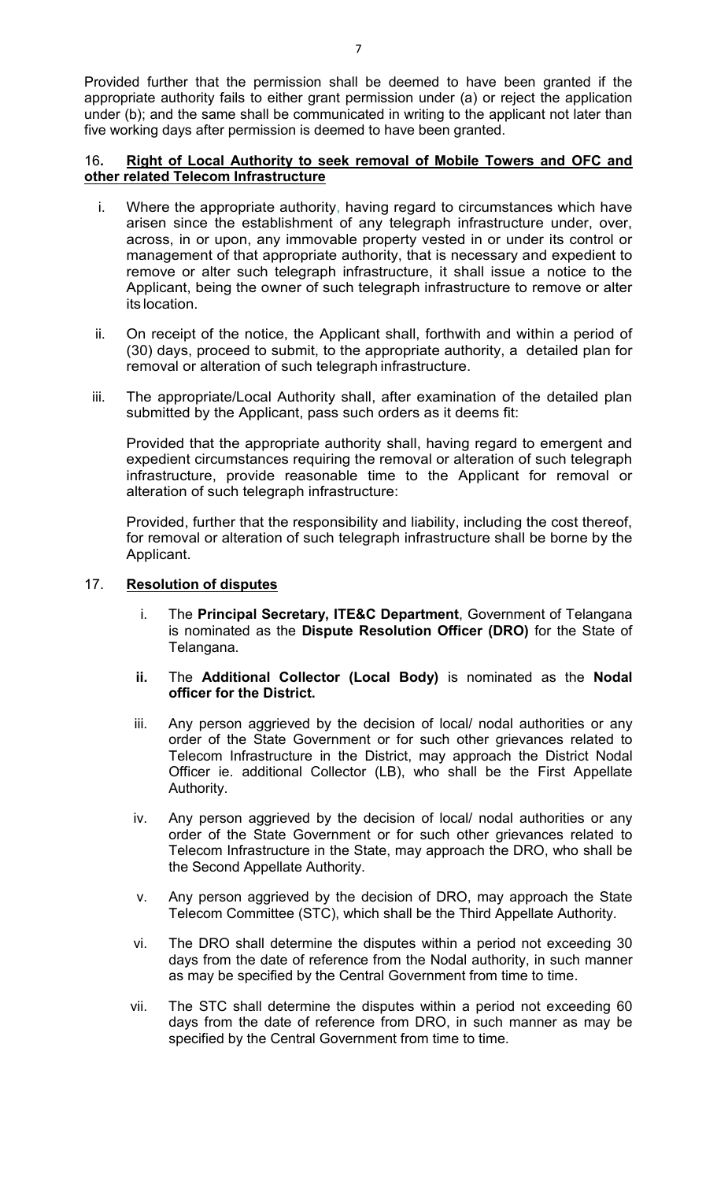Provided further that the permission shall be deemed to have been granted if the appropriate authority fails to either grant permission under (a) or reject the application under (b); and the same shall be communicated in writing to the applicant not later than five working days after permission is deemed to have been granted.

# 16**. Right of Local Authority to seek removal of Mobile Towers and OFC and other related Telecom Infrastructure**

- i. Where the appropriate authority, having regard to circumstances which have arisen since the establishment of any telegraph infrastructure under, over, across, in or upon, any immovable property vested in or under its control or management of that appropriate authority, that is necessary and expedient to remove or alter such telegraph infrastructure, it shall issue a notice to the Applicant, being the owner of such telegraph infrastructure to remove or alter its location.
- ii. On receipt of the notice, the Applicant shall, forthwith and within a period of (30) days, proceed to submit, to the appropriate authority, a detailed plan for removal or alteration of such telegraph infrastructure.
- iii. The appropriate/Local Authority shall, after examination of the detailed plan submitted by the Applicant, pass such orders as it deems fit:

Provided that the appropriate authority shall, having regard to emergent and expedient circumstances requiring the removal or alteration of such telegraph infrastructure, provide reasonable time to the Applicant for removal or alteration of such telegraph infrastructure:

Provided, further that the responsibility and liability, including the cost thereof, for removal or alteration of such telegraph infrastructure shall be borne by the Applicant.

# 17. **Resolution of disputes**

- i. The **Principal Secretary, ITE&C Department**, Government of Telangana is nominated as the **Dispute Resolution Officer (DRO)** for the State of Telangana.
- **ii.** The **Additional Collector (Local Body)** is nominated as the **Nodal officer for the District.**
- iii. Any person aggrieved by the decision of local/ nodal authorities or any order of the State Government or for such other grievances related to Telecom Infrastructure in the District, may approach the District Nodal Officer ie. additional Collector (LB), who shall be the First Appellate Authority.
- iv. Any person aggrieved by the decision of local/ nodal authorities or any order of the State Government or for such other grievances related to Telecom Infrastructure in the State, may approach the DRO, who shall be the Second Appellate Authority.
- v. Any person aggrieved by the decision of DRO, may approach the State Telecom Committee (STC), which shall be the Third Appellate Authority.
- vi. The DRO shall determine the disputes within a period not exceeding 30 days from the date of reference from the Nodal authority, in such manner as may be specified by the Central Government from time to time.
- vii. The STC shall determine the disputes within a period not exceeding 60 days from the date of reference from DRO, in such manner as may be specified by the Central Government from time to time.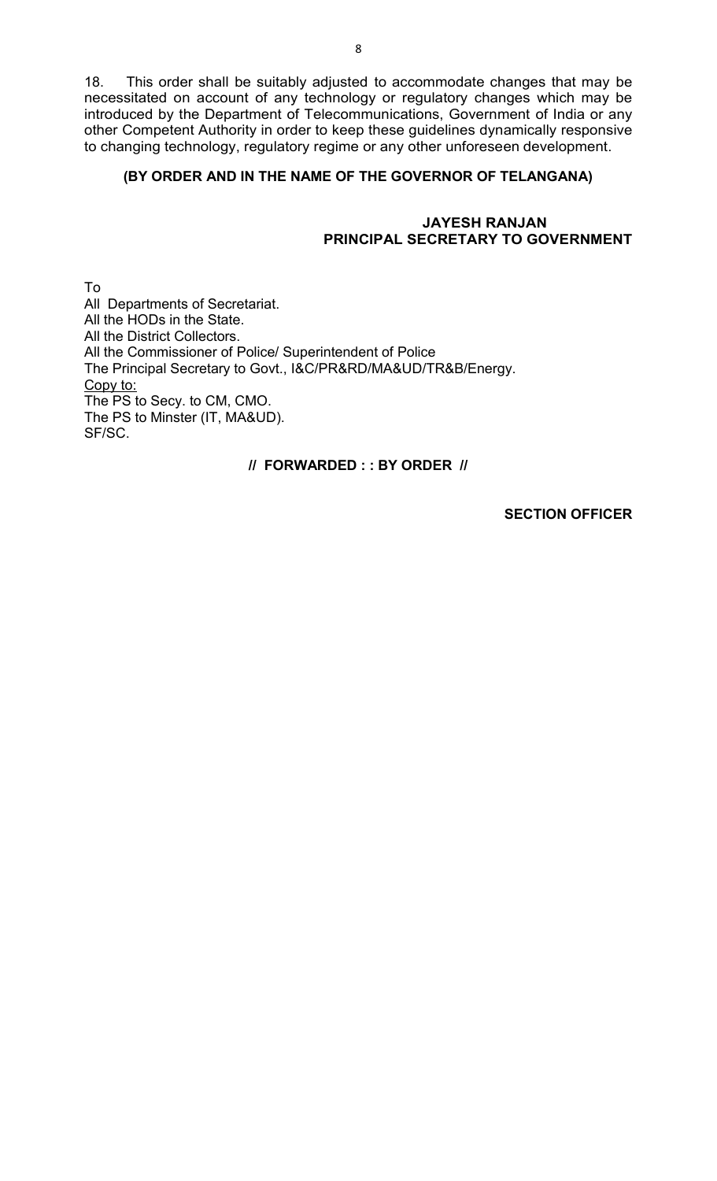18. This order shall be suitably adjusted to accommodate changes that may be necessitated on account of any technology or regulatory changes which may be introduced by the Department of Telecommunications, Government of India or any other Competent Authority in order to keep these guidelines dynamically responsive to changing technology, regulatory regime or any other unforeseen development.

## **(BY ORDER AND IN THE NAME OF THE GOVERNOR OF TELANGANA)**

#### **JAYESH RANJAN PRINCIPAL SECRETARY TO GOVERNMENT**

To All Departments of Secretariat. All the HODs in the State. All the District Collectors. All the Commissioner of Police/ Superintendent of Police The Principal Secretary to Govt., I&C/PR&RD/MA&UD/TR&B/Energy. Copy to: The PS to Secy. to CM, CMO. The PS to Minster (IT, MA&UD). SF/SC.

# **// FORWARDED : : BY ORDER //**

**SECTION OFFICER**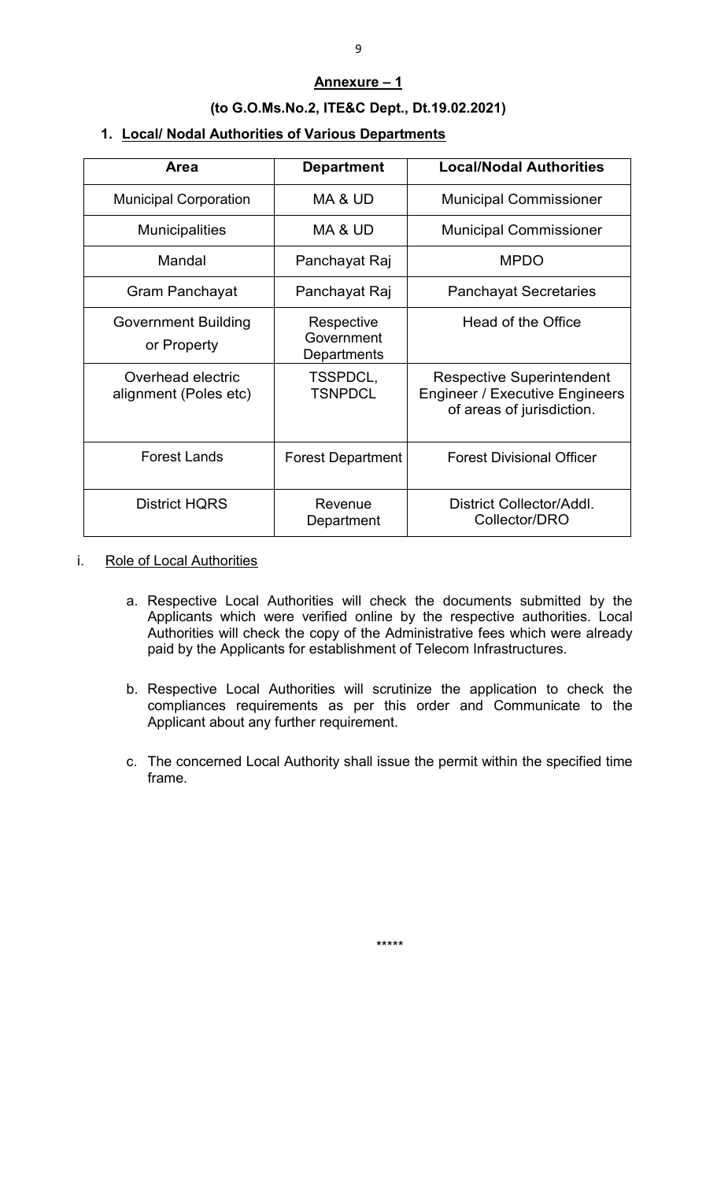#### **Annexure – 1**

# **(to G.O.Ms.No.2, ITE&C Dept., Dt.19.02.2021)**

# **1. Local/ Nodal Authorities of Various Departments**

| Area                                       | <b>Department</b>                       | <b>Local/Nodal Authorities</b>                                                                         |
|--------------------------------------------|-----------------------------------------|--------------------------------------------------------------------------------------------------------|
| <b>Municipal Corporation</b>               | MA & UD                                 | <b>Municipal Commissioner</b>                                                                          |
| <b>Municipalities</b>                      | MA & UD                                 | <b>Municipal Commissioner</b>                                                                          |
| Mandal                                     | Panchayat Raj                           | <b>MPDO</b>                                                                                            |
| Gram Panchayat                             | Panchayat Raj                           | <b>Panchayat Secretaries</b>                                                                           |
| <b>Government Building</b><br>or Property  | Respective<br>Government<br>Departments | Head of the Office                                                                                     |
| Overhead electric<br>alignment (Poles etc) | TSSPDCL,<br><b>TSNPDCL</b>              | <b>Respective Superintendent</b><br><b>Engineer / Executive Engineers</b><br>of areas of jurisdiction. |
| <b>Forest Lands</b>                        | <b>Forest Department</b>                | <b>Forest Divisional Officer</b>                                                                       |
| <b>District HQRS</b>                       | Revenue<br>Department                   | District Collector/Addl.<br>Collector/DRO                                                              |

#### i. Role of Local Authorities

- a. Respective Local Authorities will check the documents submitted by the Applicants which were verified online by the respective authorities. Local Authorities will check the copy of the Administrative fees which were already paid by the Applicants for establishment of Telecom Infrastructures.
- b. Respective Local Authorities will scrutinize the application to check the compliances requirements as per this order and Communicate to the Applicant about any further requirement.
- c. The concerned Local Authority shall issue the permit within the specified time frame.

\*\*\*\*\*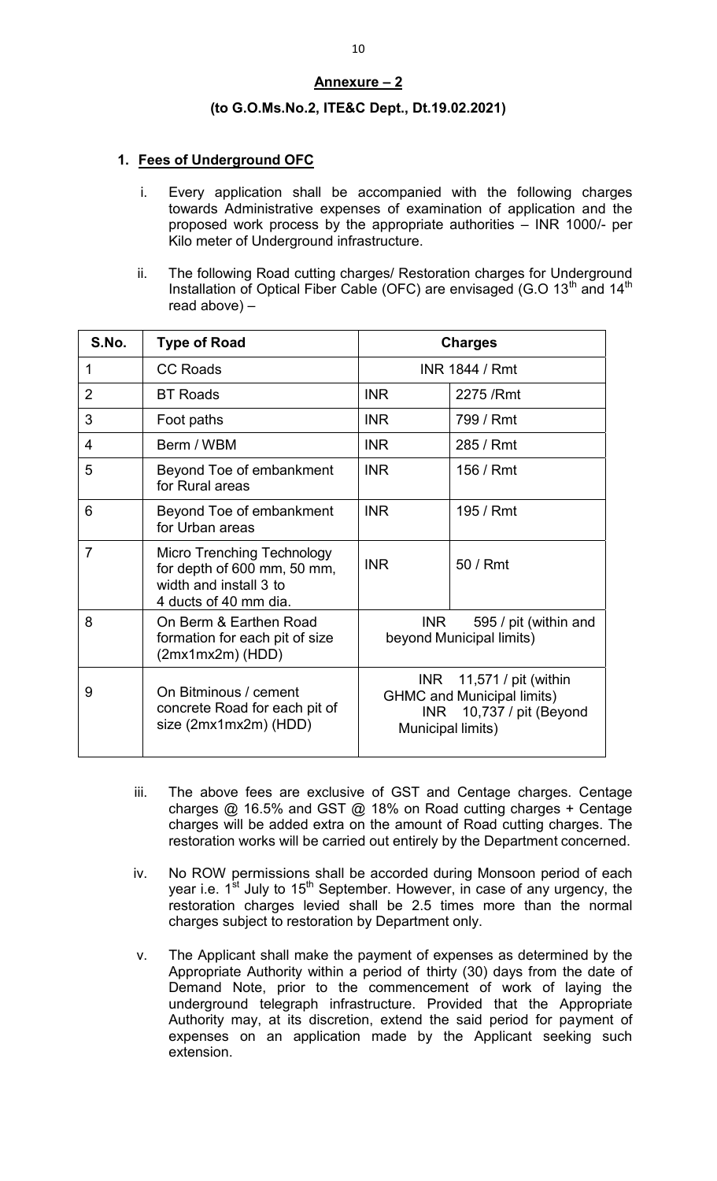# **Annexure – 2**

## **(to G.O.Ms.No.2, ITE&C Dept., Dt.19.02.2021)**

## **1. Fees of Underground OFC**

- i. Every application shall be accompanied with the following charges towards Administrative expenses of examination of application and the proposed work process by the appropriate authorities – INR 1000/- per Kilo meter of Underground infrastructure.
- ii. The following Road cutting charges/ Restoration charges for Underground Installation of Optical Fiber Cable (OFC) are envisaged (G.O  $13<sup>th</sup>$  and  $14<sup>th</sup>$ read above) –

| S.No.          | <b>Type of Road</b>                                                                                          |                                                                                                                        | <b>Charges</b>                                    |
|----------------|--------------------------------------------------------------------------------------------------------------|------------------------------------------------------------------------------------------------------------------------|---------------------------------------------------|
| 1              | <b>CC Roads</b>                                                                                              |                                                                                                                        | <b>INR 1844 / Rmt</b>                             |
| 2              | <b>BT Roads</b>                                                                                              | <b>INR</b>                                                                                                             | 2275 / Rmt                                        |
| 3              | Foot paths                                                                                                   | <b>INR</b>                                                                                                             | 799 / Rmt                                         |
| 4              | Berm / WBM                                                                                                   | <b>INR</b>                                                                                                             | 285 / Rmt                                         |
| 5              | Beyond Toe of embankment<br>for Rural areas                                                                  | <b>INR</b>                                                                                                             | 156 / Rmt                                         |
| 6              | Beyond Toe of embankment<br>for Urban areas                                                                  | <b>INR</b>                                                                                                             | 195 / Rmt                                         |
| $\overline{7}$ | Micro Trenching Technology<br>for depth of 600 mm, 50 mm,<br>width and install 3 to<br>4 ducts of 40 mm dia. | <b>INR</b>                                                                                                             | 50 / Rmt                                          |
| 8              | On Berm & Earthen Road<br>formation for each pit of size<br>$(2mx1mx2m)$ (HDD)                               | <b>INR</b>                                                                                                             | 595 / pit (within and<br>beyond Municipal limits) |
| 9              | On Bitminous / cement<br>concrete Road for each pit of<br>size (2mx1mx2m) (HDD)                              | 11,571 / pit (within<br>INR<br><b>GHMC and Municipal limits)</b><br>10,737 / pit (Beyond<br>INR I<br>Municipal limits) |                                                   |

- iii. The above fees are exclusive of GST and Centage charges. Centage charges @ 16.5% and GST @ 18% on Road cutting charges + Centage charges will be added extra on the amount of Road cutting charges. The restoration works will be carried out entirely by the Department concerned.
- iv. No ROW permissions shall be accorded during Monsoon period of each year i.e. 1<sup>st</sup> July to 15<sup>th</sup> September. However, in case of any urgency, the restoration charges levied shall be 2.5 times more than the normal charges subject to restoration by Department only.
- v. The Applicant shall make the payment of expenses as determined by the Appropriate Authority within a period of thirty (30) days from the date of Demand Note, prior to the commencement of work of laying the underground telegraph infrastructure. Provided that the Appropriate Authority may, at its discretion, extend the said period for payment of expenses on an application made by the Applicant seeking such extension.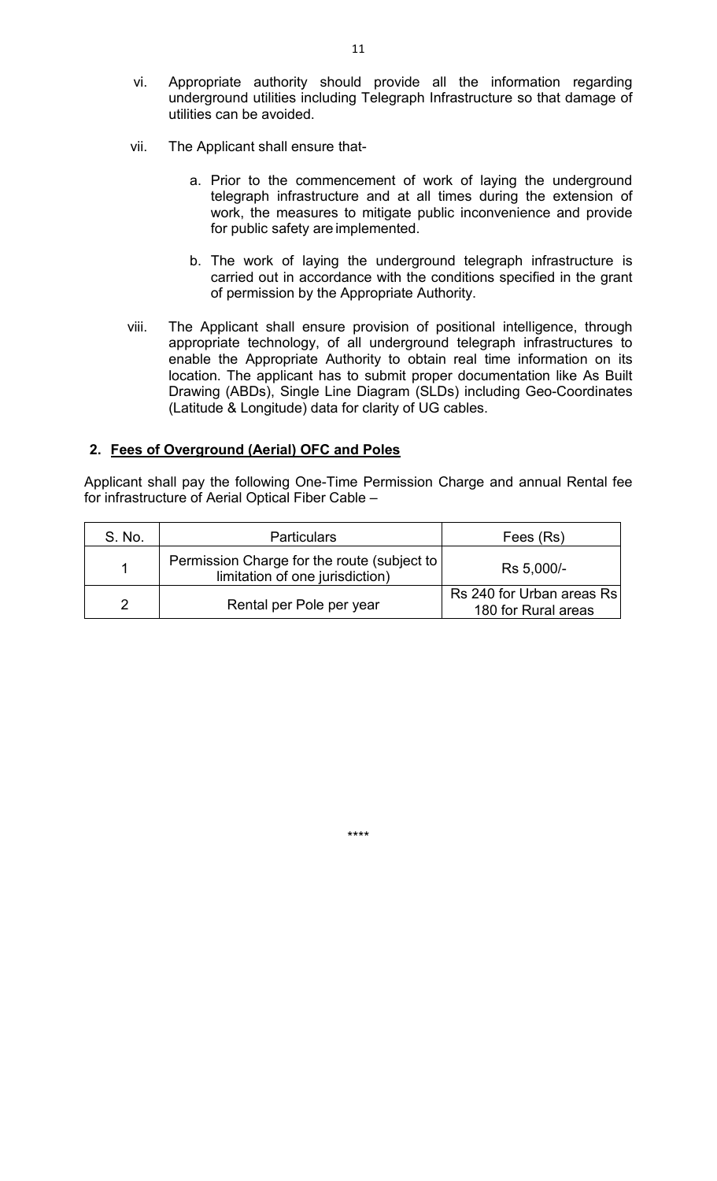- vi. Appropriate authority should provide all the information regarding underground utilities including Telegraph Infrastructure so that damage of utilities can be avoided.
- vii. The Applicant shall ensure that
	- a. Prior to the commencement of work of laying the underground telegraph infrastructure and at all times during the extension of work, the measures to mitigate public inconvenience and provide for public safety are implemented.
	- b. The work of laying the underground telegraph infrastructure is carried out in accordance with the conditions specified in the grant of permission by the Appropriate Authority.
- viii. The Applicant shall ensure provision of positional intelligence, through appropriate technology, of all underground telegraph infrastructures to enable the Appropriate Authority to obtain real time information on its location. The applicant has to submit proper documentation like As Built Drawing (ABDs), Single Line Diagram (SLDs) including Geo-Coordinates (Latitude & Longitude) data for clarity of UG cables.

#### **2. Fees of Overground (Aerial) OFC and Poles**

Applicant shall pay the following One-Time Permission Charge and annual Rental fee for infrastructure of Aerial Optical Fiber Cable –

| S. No. | <b>Particulars</b>                                                             | Fees (Rs)                                        |
|--------|--------------------------------------------------------------------------------|--------------------------------------------------|
|        | Permission Charge for the route (subject to<br>limitation of one jurisdiction) | Rs 5,000/-                                       |
|        | Rental per Pole per year                                                       | Rs 240 for Urban areas Rs<br>180 for Rural areas |

\*\*\*\*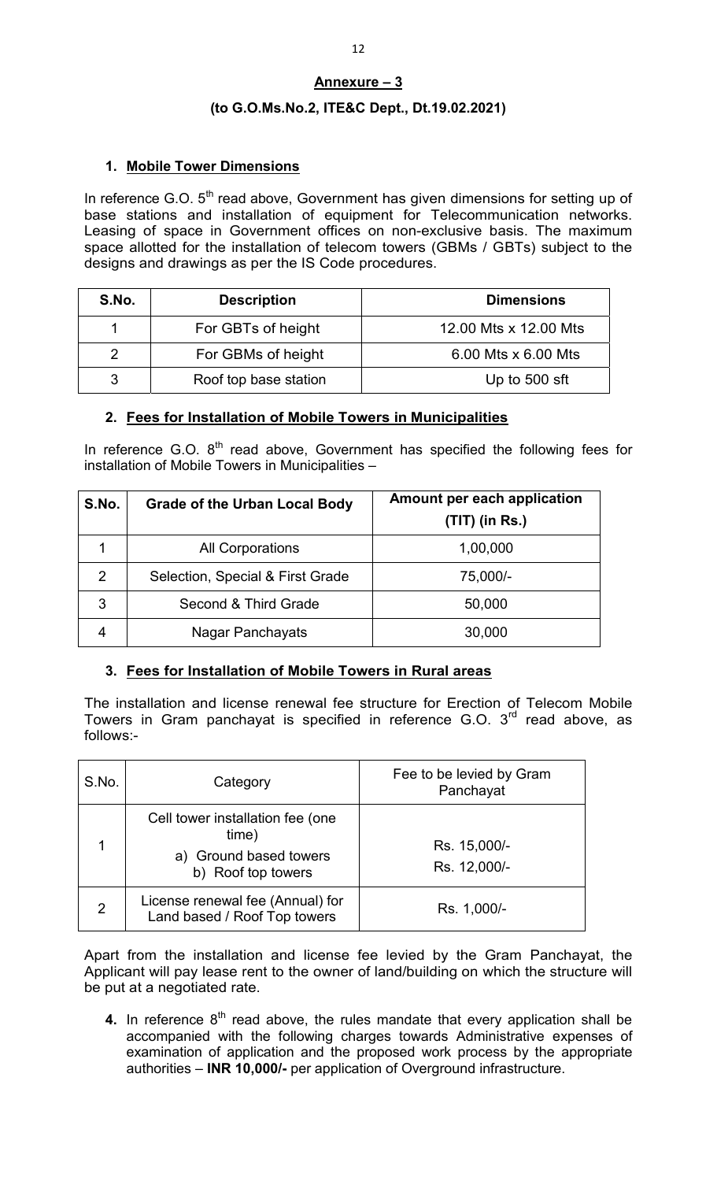# **Annexure – 3**

# **(to G.O.Ms.No.2, ITE&C Dept., Dt.19.02.2021)**

# **1. Mobile Tower Dimensions**

In reference G.O. 5<sup>th</sup> read above, Government has given dimensions for setting up of base stations and installation of equipment for Telecommunication networks. Leasing of space in Government offices on non-exclusive basis. The maximum space allotted for the installation of telecom towers (GBMs / GBTs) subject to the designs and drawings as per the IS Code procedures.

| S.No. | <b>Description</b>    | <b>Dimensions</b>     |
|-------|-----------------------|-----------------------|
|       | For GBTs of height    | 12.00 Mts x 12.00 Mts |
|       | For GBMs of height    | 6.00 Mts x 6.00 Mts   |
| 3     | Roof top base station | Up to 500 sft         |

# **2. Fees for Installation of Mobile Towers in Municipalities**

In reference G.O.  $8<sup>th</sup>$  read above, Government has specified the following fees for installation of Mobile Towers in Municipalities –

| S.No. | <b>Grade of the Urban Local Body</b> | Amount per each application<br>$(TIT)$ (in Rs.) |
|-------|--------------------------------------|-------------------------------------------------|
|       | <b>All Corporations</b>              | 1,00,000                                        |
| 2     | Selection, Special & First Grade     | 75,000/-                                        |
| 3     | Second & Third Grade                 | 50,000                                          |
| 4     | Nagar Panchayats                     | 30,000                                          |

# **3. Fees for Installation of Mobile Towers in Rural areas**

The installation and license renewal fee structure for Erection of Telecom Mobile Towers in Gram panchayat is specified in reference G.O.  $3<sup>rd</sup>$  read above, as follows:-

| S.No.          | Category                                                                                  | Fee to be levied by Gram<br>Panchayat |
|----------------|-------------------------------------------------------------------------------------------|---------------------------------------|
|                | Cell tower installation fee (one<br>time)<br>a) Ground based towers<br>b) Roof top towers | Rs. 15,000/-<br>Rs. 12,000/-          |
| $\overline{2}$ | License renewal fee (Annual) for<br>Land based / Roof Top towers                          | Rs. 1,000/-                           |

Apart from the installation and license fee levied by the Gram Panchayat, the Applicant will pay lease rent to the owner of land/building on which the structure will be put at a negotiated rate.

**4.** In reference 8<sup>th</sup> read above, the rules mandate that every application shall be accompanied with the following charges towards Administrative expenses of examination of application and the proposed work process by the appropriate authorities – **INR 10,000/-** per application of Overground infrastructure.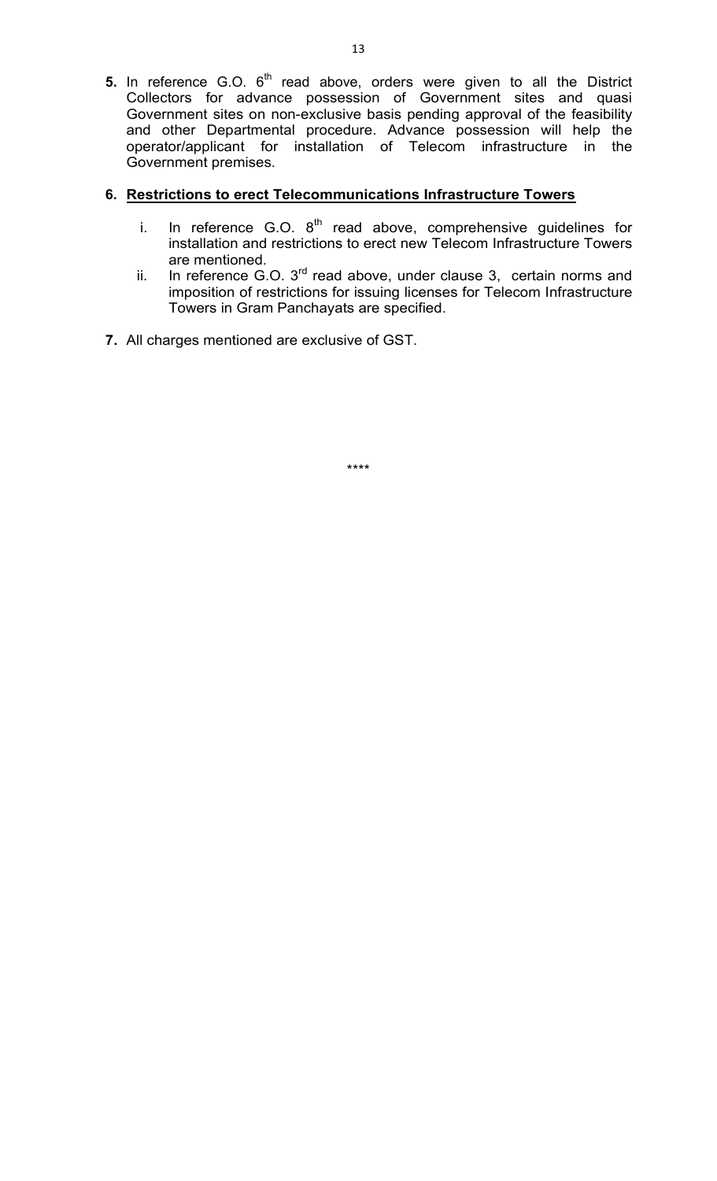**5.** In reference G.O. 6<sup>th</sup> read above, orders were given to all the District Collectors for advance possession of Government sites and quasi Government sites on non-exclusive basis pending approval of the feasibility and other Departmental procedure. Advance possession will help the operator/applicant for installation of Telecom infrastructure in the Government premises.

# **6. Restrictions to erect Telecommunications Infrastructure Towers**

- i. In reference G.O.  $8^{th}$  read above, comprehensive guidelines for installation and restrictions to erect new Telecom Infrastructure Towers are mentioned.
- ii. In reference G.O. 3<sup>rd</sup> read above, under clause 3, certain norms and imposition of restrictions for issuing licenses for Telecom Infrastructure Towers in Gram Panchayats are specified.
- **7.** All charges mentioned are exclusive of GST.

\*\*\*\*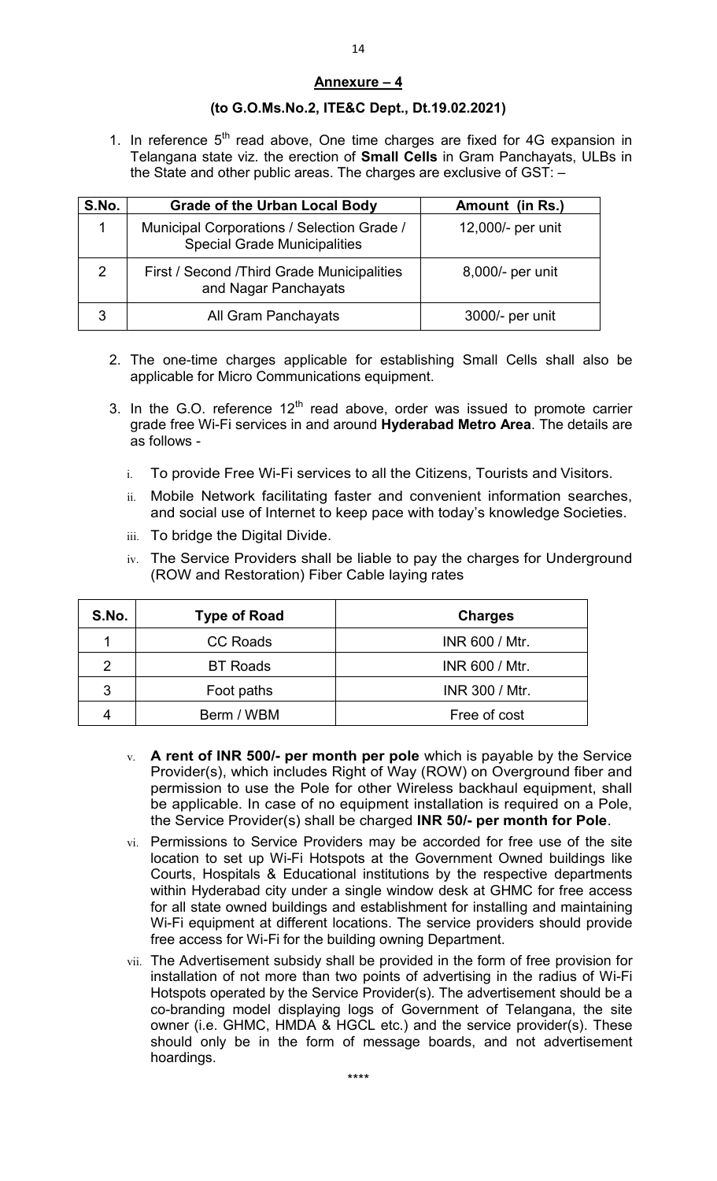## **Annexure – 4**

## **(to G.O.Ms.No.2, ITE&C Dept., Dt.19.02.2021)**

1. In reference  $5<sup>th</sup>$  read above, One time charges are fixed for 4G expansion in Telangana state viz. the erection of **Small Cells** in Gram Panchayats, ULBs in the State and other public areas. The charges are exclusive of GST: –

| S.No.         | <b>Grade of the Urban Local Body</b>                                              | Amount (in Rs.)   |
|---------------|-----------------------------------------------------------------------------------|-------------------|
|               | Municipal Corporations / Selection Grade /<br><b>Special Grade Municipalities</b> | 12,000/- per unit |
| $\mathcal{P}$ | First / Second /Third Grade Municipalities<br>and Nagar Panchayats                | 8,000/- per unit  |
|               | All Gram Panchayats                                                               | 3000/- per unit   |

- 2. The one-time charges applicable for establishing Small Cells shall also be applicable for Micro Communications equipment.
- 3. In the G.O. reference  $12<sup>th</sup>$  read above, order was issued to promote carrier grade free Wi-Fi services in and around **Hyderabad Metro Area**. The details are as follows
	- i. To provide Free Wi-Fi services to all the Citizens, Tourists and Visitors.
	- ii. Mobile Network facilitating faster and convenient information searches, and social use of Internet to keep pace with today's knowledge Societies.
	- iii. To bridge the Digital Divide.
	- iv. The Service Providers shall be liable to pay the charges for Underground (ROW and Restoration) Fiber Cable laying rates

| S.No.          | <b>Type of Road</b> | <b>Charges</b>        |
|----------------|---------------------|-----------------------|
|                | <b>CC Roads</b>     | <b>INR 600 / Mtr.</b> |
| $\mathfrak{p}$ | <b>BT Roads</b>     | <b>INR 600 / Mtr.</b> |
| 3              | Foot paths          | <b>INR 300 / Mtr.</b> |
|                | Berm / WBM          | Free of cost          |

- v. **A rent of INR 500/- per month per pole** which is payable by the Service Provider(s), which includes Right of Way (ROW) on Overground fiber and permission to use the Pole for other Wireless backhaul equipment, shall be applicable. In case of no equipment installation is required on a Pole, the Service Provider(s) shall be charged **INR 50/- per month for Pole**.
- vi. Permissions to Service Providers may be accorded for free use of the site location to set up Wi-Fi Hotspots at the Government Owned buildings like Courts, Hospitals & Educational institutions by the respective departments within Hyderabad city under a single window desk at GHMC for free access for all state owned buildings and establishment for installing and maintaining Wi-Fi equipment at different locations. The service providers should provide free access for Wi-Fi for the building owning Department.
- vii. The Advertisement subsidy shall be provided in the form of free provision for installation of not more than two points of advertising in the radius of Wi-Fi Hotspots operated by the Service Provider(s). The advertisement should be a co-branding model displaying logs of Government of Telangana, the site owner (i.e. GHMC, HMDA & HGCL etc.) and the service provider(s). These should only be in the form of message boards, and not advertisement hoardings.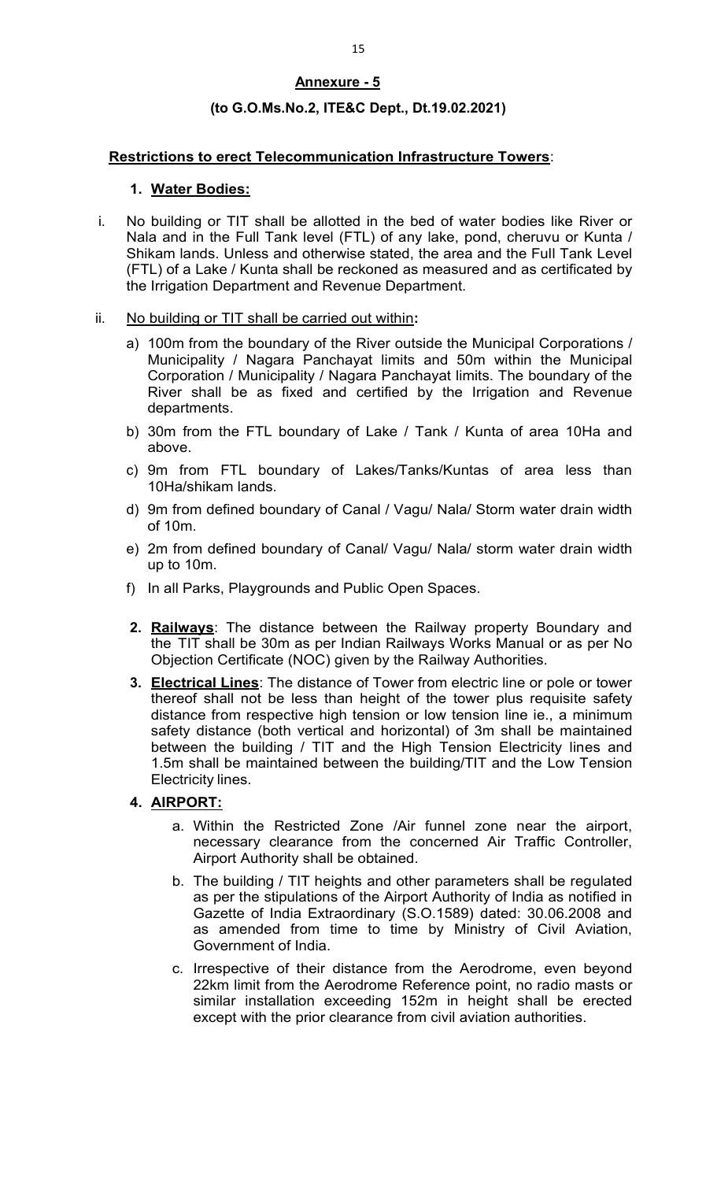# **Annexure - 5**

## **(to G.O.Ms.No.2, ITE&C Dept., Dt.19.02.2021)**

#### **Restrictions to erect Telecommunication Infrastructure Towers**:

## **1. Water Bodies:**

- i. No building or TIT shall be allotted in the bed of water bodies like River or Nala and in the Full Tank level (FTL) of any lake, pond, cheruvu or Kunta / Shikam lands. Unless and otherwise stated, the area and the Full Tank Level (FTL) of a Lake / Kunta shall be reckoned as measured and as certificated by the Irrigation Department and Revenue Department.
- ii. No building or TIT shall be carried out within**:**
	- a) 100m from the boundary of the River outside the Municipal Corporations / Municipality / Nagara Panchayat limits and 50m within the Municipal Corporation / Municipality / Nagara Panchayat limits. The boundary of the River shall be as fixed and certified by the Irrigation and Revenue departments.
	- b) 30m from the FTL boundary of Lake / Tank / Kunta of area 10Ha and above.
	- c) 9m from FTL boundary of Lakes/Tanks/Kuntas of area less than 10Ha/shikam lands.
	- d) 9m from defined boundary of Canal / Vagu/ Nala/ Storm water drain width of 10m.
	- e) 2m from defined boundary of Canal/ Vagu/ Nala/ storm water drain width up to 10m.
	- f) In all Parks, Playgrounds and Public Open Spaces.
	- **2. Railways**: The distance between the Railway property Boundary and the TIT shall be 30m as per Indian Railways Works Manual or as per No Objection Certificate (NOC) given by the Railway Authorities.
	- **3. Electrical Lines**: The distance of Tower from electric line or pole or tower thereof shall not be less than height of the tower plus requisite safety distance from respective high tension or low tension line ie., a minimum safety distance (both vertical and horizontal) of 3m shall be maintained between the building / TIT and the High Tension Electricity lines and 1.5m shall be maintained between the building/TIT and the Low Tension Electricity lines.

# **4. AIRPORT:**

- a. Within the Restricted Zone /Air funnel zone near the airport, necessary clearance from the concerned Air Traffic Controller, Airport Authority shall be obtained.
- b. The building / TIT heights and other parameters shall be regulated as per the stipulations of the Airport Authority of India as notified in Gazette of India Extraordinary (S.O.1589) dated: 30.06.2008 and as amended from time to time by Ministry of Civil Aviation, Government of India.
- c. Irrespective of their distance from the Aerodrome, even beyond 22km limit from the Aerodrome Reference point, no radio masts or similar installation exceeding 152m in height shall be erected except with the prior clearance from civil aviation authorities.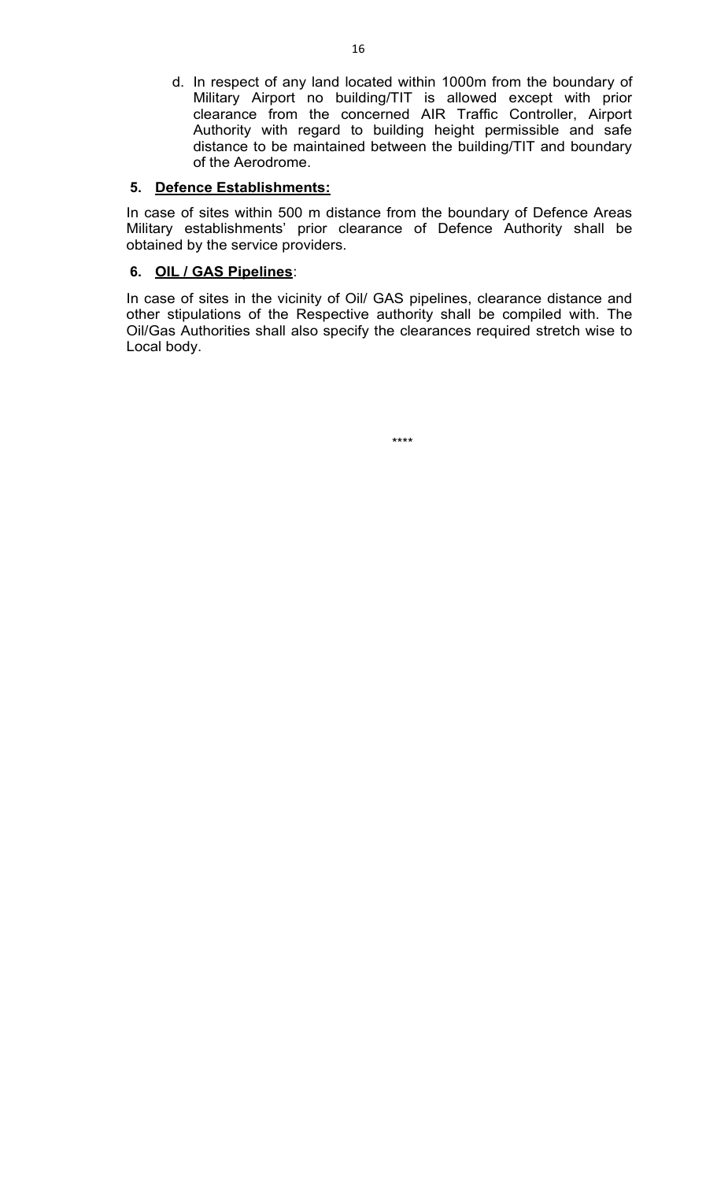d. In respect of any land located within 1000m from the boundary of Military Airport no building/TIT is allowed except with prior clearance from the concerned AIR Traffic Controller, Airport Authority with regard to building height permissible and safe distance to be maintained between the building/TIT and boundary of the Aerodrome.

# **5. Defence Establishments:**

In case of sites within 500 m distance from the boundary of Defence Areas Military establishments' prior clearance of Defence Authority shall be obtained by the service providers.

# **6. OIL / GAS Pipelines**:

In case of sites in the vicinity of Oil/ GAS pipelines, clearance distance and other stipulations of the Respective authority shall be compiled with. The Oil/Gas Authorities shall also specify the clearances required stretch wise to Local body.

\*\*\*\*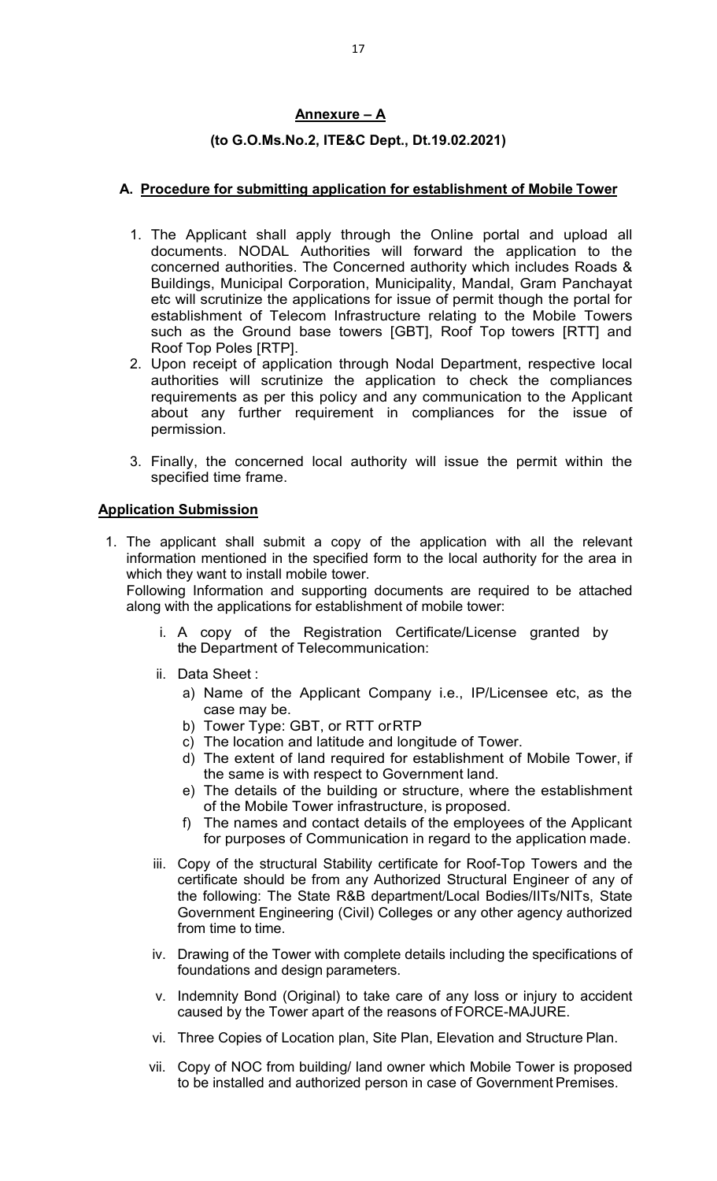# **Annexure – A**

## **(to G.O.Ms.No.2, ITE&C Dept., Dt.19.02.2021)**

# **A. Procedure for submitting application for establishment of Mobile Tower**

- 1. The Applicant shall apply through the Online portal and upload all documents. NODAL Authorities will forward the application to the concerned authorities. The Concerned authority which includes Roads & Buildings, Municipal Corporation, Municipality, Mandal, Gram Panchayat etc will scrutinize the applications for issue of permit though the portal for establishment of Telecom Infrastructure relating to the Mobile Towers such as the Ground base towers [GBT], Roof Top towers [RTT] and Roof Top Poles [RTP].
- 2. Upon receipt of application through Nodal Department, respective local authorities will scrutinize the application to check the compliances requirements as per this policy and any communication to the Applicant about any further requirement in compliances for the issue of permission.
- 3. Finally, the concerned local authority will issue the permit within the specified time frame.

#### **Application Submission**

1. The applicant shall submit a copy of the application with all the relevant information mentioned in the specified form to the local authority for the area in which they want to install mobile tower.

Following Information and supporting documents are required to be attached along with the applications for establishment of mobile tower:

- i. A copy of the Registration Certificate/License granted by the Department of Telecommunication:
- ii. Data Sheet :
	- a) Name of the Applicant Company i.e., IP/Licensee etc, as the case may be.
	- b) Tower Type: GBT, or RTT or RTP
	- c) The location and latitude and longitude of Tower.
	- d) The extent of land required for establishment of Mobile Tower, if the same is with respect to Government land.
	- e) The details of the building or structure, where the establishment of the Mobile Tower infrastructure, is proposed.
	- f) The names and contact details of the employees of the Applicant for purposes of Communication in regard to the application made.
- iii. Copy of the structural Stability certificate for Roof-Top Towers and the certificate should be from any Authorized Structural Engineer of any of the following: The State R&B department/Local Bodies/IITs/NITs, State Government Engineering (Civil) Colleges or any other agency authorized from time to time.
- iv. Drawing of the Tower with complete details including the specifications of foundations and design parameters.
- v. Indemnity Bond (Original) to take care of any loss or injury to accident caused by the Tower apart of the reasons of FORCE-MAJURE.
- vi. Three Copies of Location plan, Site Plan, Elevation and Structure Plan.
- vii. Copy of NOC from building/ land owner which Mobile Tower is proposed to be installed and authorized person in case of Government Premises.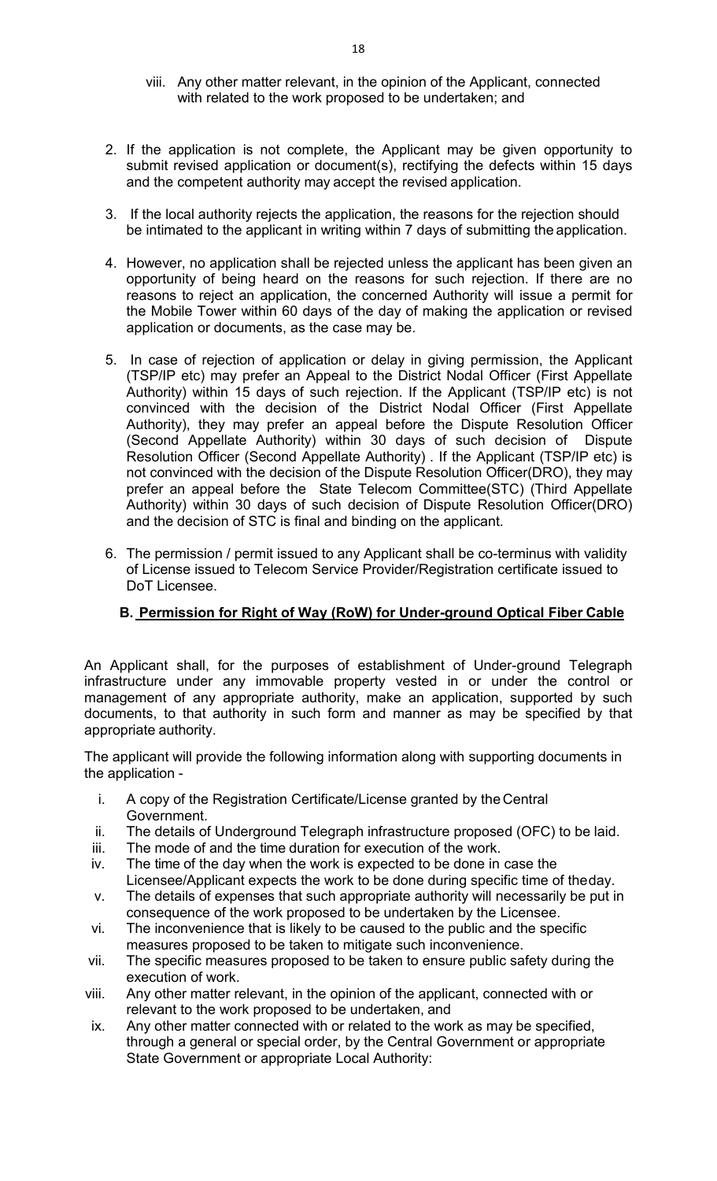- viii. Any other matter relevant, in the opinion of the Applicant, connected with related to the work proposed to be undertaken; and
- 2. If the application is not complete, the Applicant may be given opportunity to submit revised application or document(s), rectifying the defects within 15 days and the competent authority may accept the revised application.
- 3. If the local authority rejects the application, the reasons for the rejection should be intimated to the applicant in writing within 7 days of submitting the application.
- 4. However, no application shall be rejected unless the applicant has been given an opportunity of being heard on the reasons for such rejection. If there are no reasons to reject an application, the concerned Authority will issue a permit for the Mobile Tower within 60 days of the day of making the application or revised application or documents, as the case may be.
- 5. In case of rejection of application or delay in giving permission, the Applicant (TSP/IP etc) may prefer an Appeal to the District Nodal Officer (First Appellate Authority) within 15 days of such rejection. If the Applicant (TSP/IP etc) is not convinced with the decision of the District Nodal Officer (First Appellate Authority), they may prefer an appeal before the Dispute Resolution Officer (Second Appellate Authority) within 30 days of such decision of Dispute Resolution Officer (Second Appellate Authority) . If the Applicant (TSP/IP etc) is not convinced with the decision of the Dispute Resolution Officer(DRO), they may prefer an appeal before the State Telecom Committee(STC) (Third Appellate Authority) within 30 days of such decision of Dispute Resolution Officer(DRO) and the decision of STC is final and binding on the applicant.
- 6. The permission / permit issued to any Applicant shall be co-terminus with validity of License issued to Telecom Service Provider/Registration certificate issued to DoT Licensee.

# **B. Permission for Right of Way (RoW) for Under-ground Optical Fiber Cable**

An Applicant shall, for the purposes of establishment of Under-ground Telegraph infrastructure under any immovable property vested in or under the control or management of any appropriate authority, make an application, supported by such documents, to that authority in such form and manner as may be specified by that appropriate authority.

The applicant will provide the following information along with supporting documents in the application -

- i. A copy of the Registration Certificate/License granted by the Central Government.
- ii. The details of Underground Telegraph infrastructure proposed (OFC) to be laid.
- iii. The mode of and the time duration for execution of the work.
- iv. The time of the day when the work is expected to be done in case the Licensee/Applicant expects the work to be done during specific time of the day.
- v. The details of expenses that such appropriate authority will necessarily be put in consequence of the work proposed to be undertaken by the Licensee.
- vi. The inconvenience that is likely to be caused to the public and the specific measures proposed to be taken to mitigate such inconvenience.
- vii. The specific measures proposed to be taken to ensure public safety during the execution of work.
- viii. Any other matter relevant, in the opinion of the applicant, connected with or relevant to the work proposed to be undertaken, and
- ix. Any other matter connected with or related to the work as may be specified, through a general or special order, by the Central Government or appropriate State Government or appropriate Local Authority: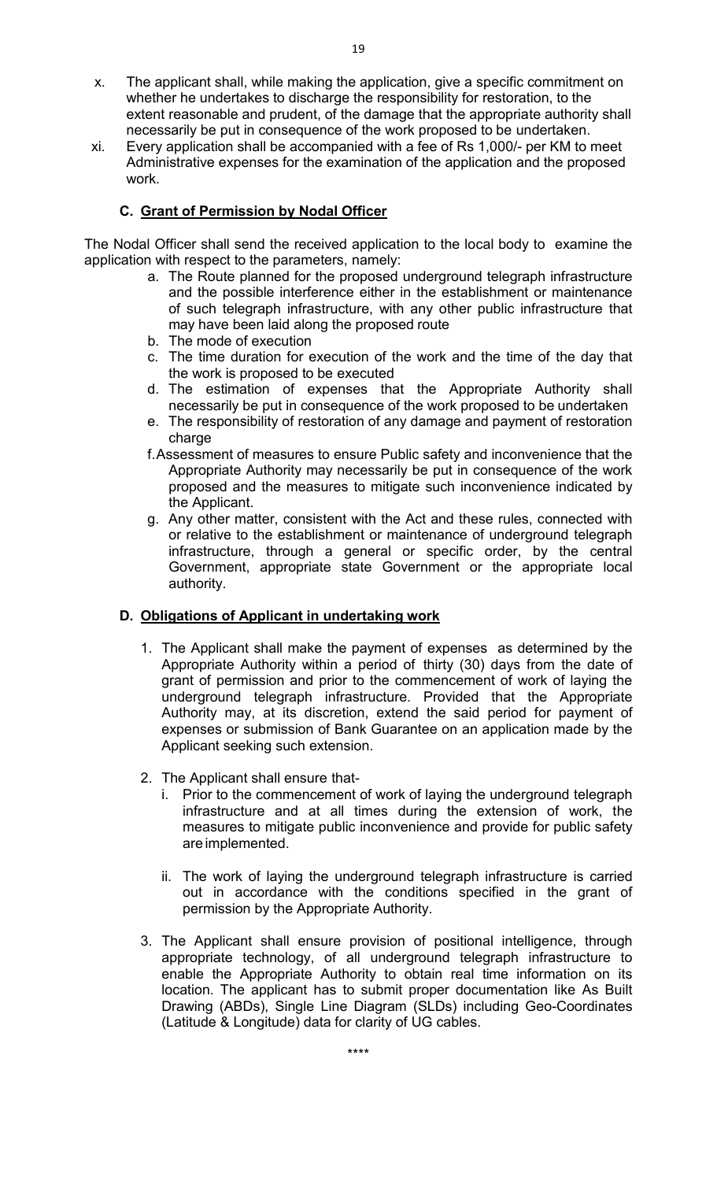- x. The applicant shall, while making the application, give a specific commitment on whether he undertakes to discharge the responsibility for restoration, to the extent reasonable and prudent, of the damage that the appropriate authority shall necessarily be put in consequence of the work proposed to be undertaken.
- xi. Every application shall be accompanied with a fee of Rs 1,000/- per KM to meet Administrative expenses for the examination of the application and the proposed work.

# **C. Grant of Permission by Nodal Officer**

The Nodal Officer shall send the received application to the local body to examine the application with respect to the parameters, namely:

- a. The Route planned for the proposed underground telegraph infrastructure and the possible interference either in the establishment or maintenance of such telegraph infrastructure, with any other public infrastructure that may have been laid along the proposed route
- b. The mode of execution
- c. The time duration for execution of the work and the time of the day that the work is proposed to be executed
- d. The estimation of expenses that the Appropriate Authority shall necessarily be put in consequence of the work proposed to be undertaken
- e. The responsibility of restoration of any damage and payment of restoration charge
- f. Assessment of measures to ensure Public safety and inconvenience that the Appropriate Authority may necessarily be put in consequence of the work proposed and the measures to mitigate such inconvenience indicated by the Applicant.
- g. Any other matter, consistent with the Act and these rules, connected with or relative to the establishment or maintenance of underground telegraph infrastructure, through a general or specific order, by the central Government, appropriate state Government or the appropriate local authority.

# **D. Obligations of Applicant in undertaking work**

- 1. The Applicant shall make the payment of expenses as determined by the Appropriate Authority within a period of thirty (30) days from the date of grant of permission and prior to the commencement of work of laying the underground telegraph infrastructure. Provided that the Appropriate Authority may, at its discretion, extend the said period for payment of expenses or submission of Bank Guarantee on an application made by the Applicant seeking such extension.
- 2. The Applicant shall ensure that
	- i. Prior to the commencement of work of laying the underground telegraph infrastructure and at all times during the extension of work, the measures to mitigate public inconvenience and provide for public safety are implemented.
	- ii. The work of laying the underground telegraph infrastructure is carried out in accordance with the conditions specified in the grant of permission by the Appropriate Authority.
- 3. The Applicant shall ensure provision of positional intelligence, through appropriate technology, of all underground telegraph infrastructure to enable the Appropriate Authority to obtain real time information on its location. The applicant has to submit proper documentation like As Built Drawing (ABDs), Single Line Diagram (SLDs) including Geo-Coordinates (Latitude & Longitude) data for clarity of UG cables.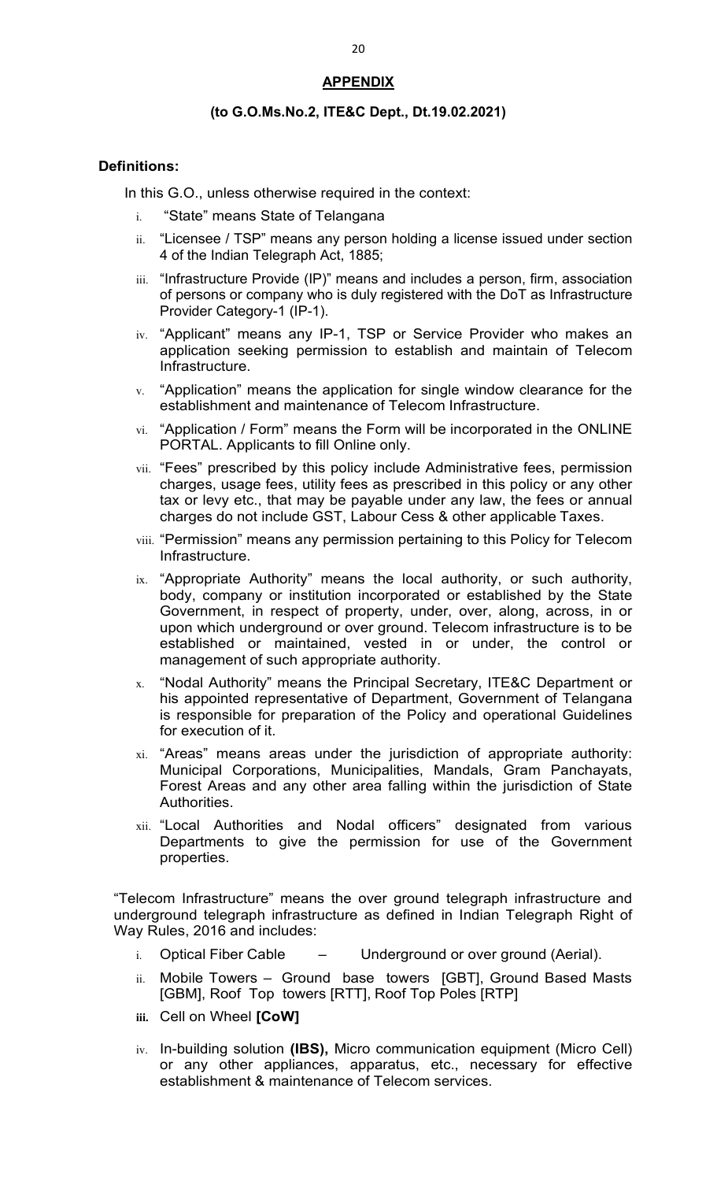## **APPENDIX**

#### **(to G.O.Ms.No.2, ITE&C Dept., Dt.19.02.2021)**

#### **Definitions:**

In this G.O., unless otherwise required in the context:

- i. "State" means State of Telangana
- ii. "Licensee / TSP" means any person holding a license issued under section 4 of the Indian Telegraph Act, 1885;
- iii. "Infrastructure Provide (IP)" means and includes a person, firm, association of persons or company who is duly registered with the DoT as Infrastructure Provider Category-1 (IP-1).
- iv. "Applicant" means any IP-1, TSP or Service Provider who makes an application seeking permission to establish and maintain of Telecom Infrastructure.
- $v.$  "Application" means the application for single window clearance for the establishment and maintenance of Telecom Infrastructure.
- vi. "Application / Form" means the Form will be incorporated in the ONLINE PORTAL. Applicants to fill Online only.
- vii. "Fees" prescribed by this policy include Administrative fees, permission charges, usage fees, utility fees as prescribed in this policy or any other tax or levy etc., that may be payable under any law, the fees or annual charges do not include GST, Labour Cess & other applicable Taxes.
- viii. "Permission" means any permission pertaining to this Policy for Telecom Infrastructure.
- ix. "Appropriate Authority" means the local authority, or such authority, body, company or institution incorporated or established by the State Government, in respect of property, under, over, along, across, in or upon which underground or over ground. Telecom infrastructure is to be established or maintained, vested in or under, the control or management of such appropriate authority.
- x. "Nodal Authority" means the Principal Secretary, ITE&C Department or his appointed representative of Department, Government of Telangana is responsible for preparation of the Policy and operational Guidelines for execution of it.
- xi. "Areas" means areas under the jurisdiction of appropriate authority: Municipal Corporations, Municipalities, Mandals, Gram Panchayats, Forest Areas and any other area falling within the jurisdiction of State Authorities.
- xii. "Local Authorities and Nodal officers" designated from various Departments to give the permission for use of the Government properties.

"Telecom Infrastructure" means the over ground telegraph infrastructure and underground telegraph infrastructure as defined in Indian Telegraph Right of Way Rules, 2016 and includes:

- $i.$  Optical Fiber Cable  $-$  Underground or over ground (Aerial).
- ii. Mobile Towers Ground base towers [GBT], Ground Based Masts [GBM], Roof Top towers [RTT], Roof Top Poles [RTP]
- **iii.** Cell on Wheel **[CoW]**
- iv. In-building solution **(IBS),** Micro communication equipment (Micro Cell) or any other appliances, apparatus, etc., necessary for effective establishment & maintenance of Telecom services.